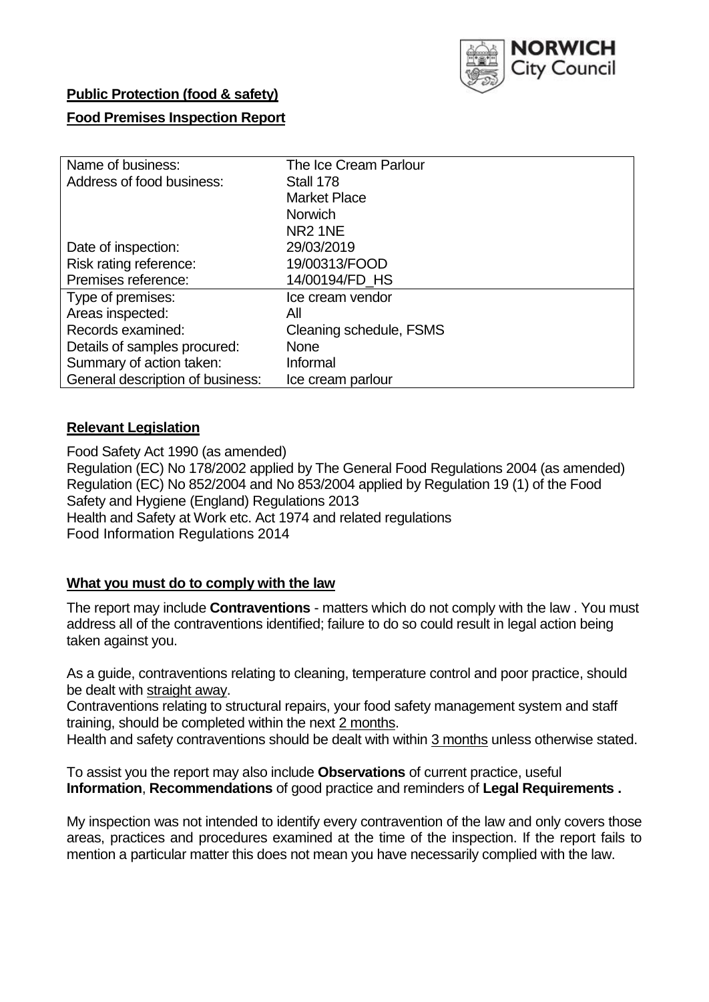

# **Public Protection (food & safety) Food Premises Inspection Report**

| Name of business:                | The Ice Cream Parlour   |  |  |  |  |  |
|----------------------------------|-------------------------|--|--|--|--|--|
| Address of food business:        | Stall 178               |  |  |  |  |  |
|                                  | <b>Market Place</b>     |  |  |  |  |  |
|                                  | <b>Norwich</b>          |  |  |  |  |  |
|                                  | <b>NR2 1NE</b>          |  |  |  |  |  |
| Date of inspection:              | 29/03/2019              |  |  |  |  |  |
| Risk rating reference:           | 19/00313/FOOD           |  |  |  |  |  |
| Premises reference:              | 14/00194/FD_HS          |  |  |  |  |  |
| Type of premises:                | Ice cream vendor        |  |  |  |  |  |
| Areas inspected:                 | Αll                     |  |  |  |  |  |
| Records examined:                | Cleaning schedule, FSMS |  |  |  |  |  |
| Details of samples procured:     | <b>None</b>             |  |  |  |  |  |
| Summary of action taken:         | Informal                |  |  |  |  |  |
| General description of business: | Ice cream parlour       |  |  |  |  |  |

### **Relevant Legislation**

Food Safety Act 1990 (as amended) Regulation (EC) No 178/2002 applied by The General Food Regulations 2004 (as amended) Regulation (EC) No 852/2004 and No 853/2004 applied by Regulation 19 (1) of the Food Safety and Hygiene (England) Regulations 2013 Health and Safety at Work etc. Act 1974 and related regulations Food Information Regulations 2014

### **What you must do to comply with the law**

The report may include **Contraventions** - matters which do not comply with the law . You must address all of the contraventions identified; failure to do so could result in legal action being taken against you.

As a guide, contraventions relating to cleaning, temperature control and poor practice, should be dealt with straight away.

Contraventions relating to structural repairs, your food safety management system and staff training, should be completed within the next 2 months.

Health and safety contraventions should be dealt with within 3 months unless otherwise stated.

To assist you the report may also include **Observations** of current practice, useful **Information**, **Recommendations** of good practice and reminders of **Legal Requirements .**

My inspection was not intended to identify every contravention of the law and only covers those areas, practices and procedures examined at the time of the inspection. If the report fails to mention a particular matter this does not mean you have necessarily complied with the law.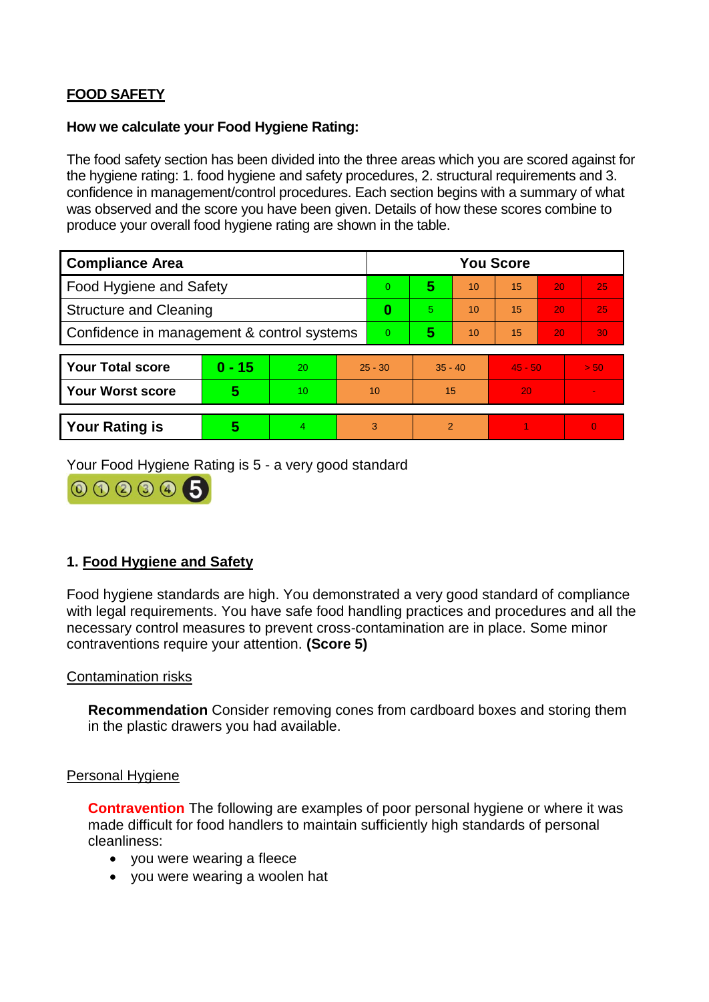## **FOOD SAFETY**

#### **How we calculate your Food Hygiene Rating:**

The food safety section has been divided into the three areas which you are scored against for the hygiene rating: 1. food hygiene and safety procedures, 2. structural requirements and 3. confidence in management/control procedures. Each section begins with a summary of what was observed and the score you have been given. Details of how these scores combine to produce your overall food hygiene rating are shown in the table.

| <b>Compliance Area</b>                     |          |    |           | <b>You Score</b> |                |    |           |    |                |  |  |
|--------------------------------------------|----------|----|-----------|------------------|----------------|----|-----------|----|----------------|--|--|
| Food Hygiene and Safety                    |          |    | $\Omega$  | 5                | 10             | 15 | 20        | 25 |                |  |  |
| <b>Structure and Cleaning</b>              |          |    | 0         | 5.               | 10             | 15 | 20        | 25 |                |  |  |
| Confidence in management & control systems |          |    | 0         | 5                | 10             | 15 | 20        | 30 |                |  |  |
|                                            |          |    |           |                  |                |    |           |    |                |  |  |
| <b>Your Total score</b>                    | $0 - 15$ | 20 | $25 - 30$ |                  | $35 - 40$      |    | $45 - 50$ |    | > 50           |  |  |
| <b>Your Worst score</b>                    | 5        | 10 | 10        |                  | 15             |    | 20        |    | $\blacksquare$ |  |  |
|                                            |          |    |           |                  |                |    |           |    |                |  |  |
| <b>Your Rating is</b>                      | 5        | 4  | 3         |                  | $\overline{2}$ |    |           |    | $\Omega$       |  |  |

Your Food Hygiene Rating is 5 - a very good standard



### **1. Food Hygiene and Safety**

Food hygiene standards are high. You demonstrated a very good standard of compliance with legal requirements. You have safe food handling practices and procedures and all the necessary control measures to prevent cross-contamination are in place. Some minor contraventions require your attention. **(Score 5)**

### Contamination risks

**Recommendation** Consider removing cones from cardboard boxes and storing them in the plastic drawers you had available.

#### Personal Hygiene

**Contravention** The following are examples of poor personal hygiene or where it was made difficult for food handlers to maintain sufficiently high standards of personal cleanliness:

- you were wearing a fleece
- you were wearing a woolen hat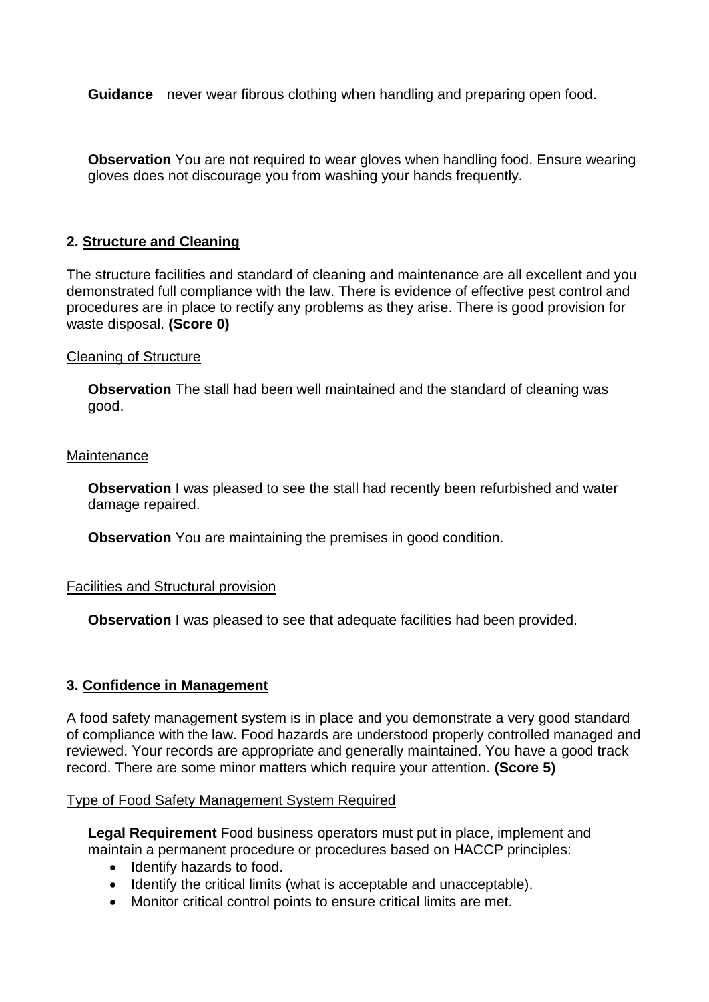**Guidance** never wear fibrous clothing when handling and preparing open food.

**Observation** You are not required to wear gloves when handling food. Ensure wearing gloves does not discourage you from washing your hands frequently.

### **2. Structure and Cleaning**

The structure facilities and standard of cleaning and maintenance are all excellent and you demonstrated full compliance with the law. There is evidence of effective pest control and procedures are in place to rectify any problems as they arise. There is good provision for waste disposal. **(Score 0)**

#### Cleaning of Structure

**Observation** The stall had been well maintained and the standard of cleaning was good.

#### **Maintenance**

**Observation** I was pleased to see the stall had recently been refurbished and water damage repaired.

**Observation** You are maintaining the premises in good condition.

### Facilities and Structural provision

**Observation** I was pleased to see that adequate facilities had been provided.

### **3. Confidence in Management**

A food safety management system is in place and you demonstrate a very good standard of compliance with the law. Food hazards are understood properly controlled managed and reviewed. Your records are appropriate and generally maintained. You have a good track record. There are some minor matters which require your attention. **(Score 5)**

#### Type of Food Safety Management System Required

**Legal Requirement** Food business operators must put in place, implement and maintain a permanent procedure or procedures based on HACCP principles:

- Identify hazards to food.
- Identify the critical limits (what is acceptable and unacceptable).
- Monitor critical control points to ensure critical limits are met.